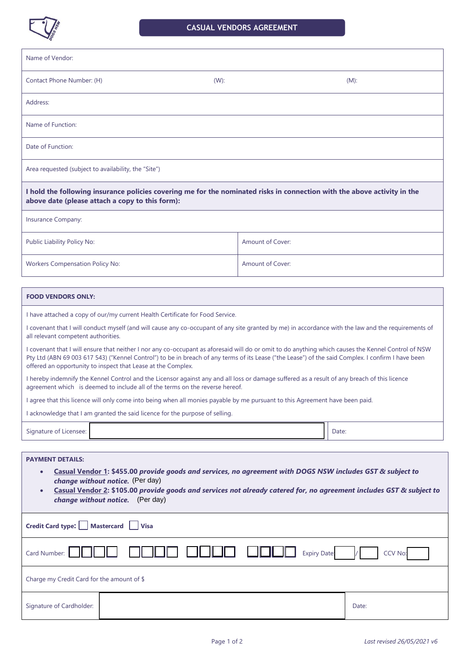

| Name of Vendor:                                                                                                                                                                                                                                                                                                                       |                  |                                                                                                                                                                                                                                                                                                           |
|---------------------------------------------------------------------------------------------------------------------------------------------------------------------------------------------------------------------------------------------------------------------------------------------------------------------------------------|------------------|-----------------------------------------------------------------------------------------------------------------------------------------------------------------------------------------------------------------------------------------------------------------------------------------------------------|
| Contact Phone Number: (H)                                                                                                                                                                                                                                                                                                             | (W):             | $(M)$ :                                                                                                                                                                                                                                                                                                   |
| Address:                                                                                                                                                                                                                                                                                                                              |                  |                                                                                                                                                                                                                                                                                                           |
| Name of Function:                                                                                                                                                                                                                                                                                                                     |                  |                                                                                                                                                                                                                                                                                                           |
| Date of Function:                                                                                                                                                                                                                                                                                                                     |                  |                                                                                                                                                                                                                                                                                                           |
| Area requested (subject to availability, the "Site")                                                                                                                                                                                                                                                                                  |                  |                                                                                                                                                                                                                                                                                                           |
| I hold the following insurance policies covering me for the nominated risks in connection with the above activity in the<br>above date (please attach a copy to this form):                                                                                                                                                           |                  |                                                                                                                                                                                                                                                                                                           |
| Insurance Company:                                                                                                                                                                                                                                                                                                                    |                  |                                                                                                                                                                                                                                                                                                           |
| Public Liability Policy No:                                                                                                                                                                                                                                                                                                           | Amount of Cover: |                                                                                                                                                                                                                                                                                                           |
| <b>Workers Compensation Policy No:</b>                                                                                                                                                                                                                                                                                                | Amount of Cover: |                                                                                                                                                                                                                                                                                                           |
| <b>FOOD VENDORS ONLY:</b>                                                                                                                                                                                                                                                                                                             |                  |                                                                                                                                                                                                                                                                                                           |
| I have attached a copy of our/my current Health Certificate for Food Service.                                                                                                                                                                                                                                                         |                  |                                                                                                                                                                                                                                                                                                           |
| all relevant competent authorities.                                                                                                                                                                                                                                                                                                   |                  | I covenant that I will conduct myself (and will cause any co-occupant of any site granted by me) in accordance with the law and the requirements of                                                                                                                                                       |
| offered an opportunity to inspect that Lease at the Complex.                                                                                                                                                                                                                                                                          |                  | I covenant that I will ensure that neither I nor any co-occupant as aforesaid will do or omit to do anything which causes the Kennel Control of NSW<br>Pty Ltd (ABN 69 003 617 543) ("Kennel Control") to be in breach of any terms of its Lease ("the Lease") of the said Complex. I confirm I have been |
| I hereby indemnify the Kennel Control and the Licensor against any and all loss or damage suffered as a result of any breach of this licence<br>agreement which is deemed to include all of the terms on the reverse hereof.                                                                                                          |                  |                                                                                                                                                                                                                                                                                                           |
| I agree that this licence will only come into being when all monies payable by me pursuant to this Agreement have been paid.                                                                                                                                                                                                          |                  |                                                                                                                                                                                                                                                                                                           |
| I acknowledge that I am granted the said licence for the purpose of selling.                                                                                                                                                                                                                                                          |                  |                                                                                                                                                                                                                                                                                                           |
| Signature of Licensee:                                                                                                                                                                                                                                                                                                                |                  | Date:                                                                                                                                                                                                                                                                                                     |
| <b>PAYMENT DETAILS:</b><br>Casual Vendor 1: \$455.00 provide goods and services, no agreement with DOGS NSW includes GST & subject to<br>change without notice. (Per day)<br>Casual Vendor 2: \$105.00 provide goods and services not already catered for, no agreement includes GST & subject to<br>change without notice. (Per day) |                  |                                                                                                                                                                                                                                                                                                           |
| Credit Card type:<br><b>Mastercard</b><br><b>Visa</b>                                                                                                                                                                                                                                                                                 |                  |                                                                                                                                                                                                                                                                                                           |
| Card Number:<br><b>CCV No</b><br><b>Expiry Date:</b>                                                                                                                                                                                                                                                                                  |                  |                                                                                                                                                                                                                                                                                                           |
| Charge my Credit Card for the amount of \$                                                                                                                                                                                                                                                                                            |                  |                                                                                                                                                                                                                                                                                                           |